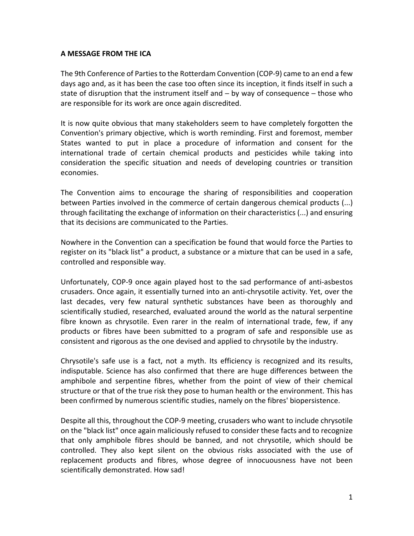## **A MESSAGE FROM THE ICA**

The 9th Conference of Parties to the Rotterdam Convention (COP-9) came to an end a few days ago and, as it has been the case too often since its inception, it finds itself in such a state of disruption that the instrument itself and – by way of consequence – those who are responsible for its work are once again discredited.

It is now quite obvious that many stakeholders seem to have completely forgotten the Convention's primary objective, which is worth reminding. First and foremost, member States wanted to put in place a procedure of information and consent for the international trade of certain chemical products and pesticides while taking into consideration the specific situation and needs of developing countries or transition economies.

The Convention aims to encourage the sharing of responsibilities and cooperation between Parties involved in the commerce of certain dangerous chemical products (...) through facilitating the exchange of information on their characteristics (...) and ensuring that its decisions are communicated to the Parties.

Nowhere in the Convention can a specification be found that would force the Parties to register on its "black list" a product, a substance or a mixture that can be used in a safe, controlled and responsible way.

Unfortunately, COP-9 once again played host to the sad performance of anti-asbestos crusaders. Once again, it essentially turned into an anti-chrysotile activity. Yet, over the last decades, very few natural synthetic substances have been as thoroughly and scientifically studied, researched, evaluated around the world as the natural serpentine fibre known as chrysotile. Even rarer in the realm of international trade, few, if any products or fibres have been submitted to a program of safe and responsible use as consistent and rigorous as the one devised and applied to chrysotile by the industry.

Chrysotile's safe use is a fact, not a myth. Its efficiency is recognized and its results, indisputable. Science has also confirmed that there are huge differences between the amphibole and serpentine fibres, whether from the point of view of their chemical structure or that of the true risk they pose to human health or the environment. This has been confirmed by numerous scientific studies, namely on the fibres' biopersistence.

Despite all this, throughout the COP-9 meeting, crusaders who want to include chrysotile on the "black list" once again maliciously refused to consider these facts and to recognize that only amphibole fibres should be banned, and not chrysotile, which should be controlled. They also kept silent on the obvious risks associated with the use of replacement products and fibres, whose degree of innocuousness have not been scientifically demonstrated. How sad!